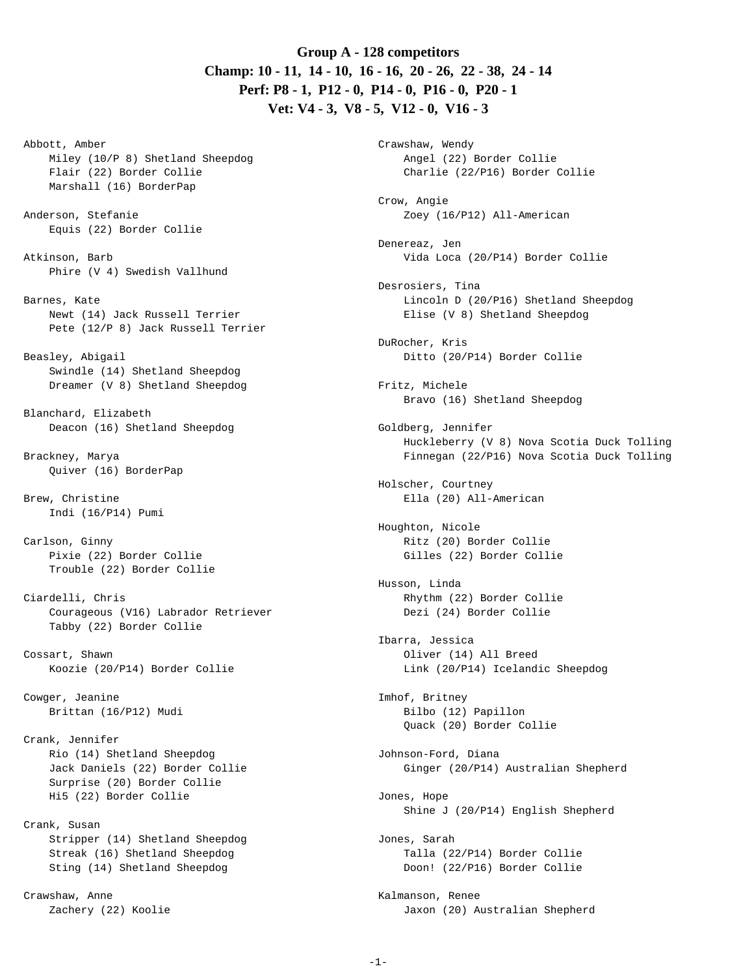# **Group A - 128 competitors Champ: 10 - 11, 14 - 10, 16 - 16, 20 - 26, 22 - 38, 24 - 14 Perf: P8 - 1, P12 - 0, P14 - 0, P16 - 0, P20 - 1 Vet: V4 - 3, V8 - 5, V12 - 0, V16 - 3**

Abbott, Amber Miley (10/P 8) Shetland Sheepdog Flair (22) Border Collie Marshall (16) BorderPap Anderson, Stefanie Equis (22) Border Collie Atkinson, Barb Phire (V 4) Swedish Vallhund Barnes, Kate Newt (14) Jack Russell Terrier Pete (12/P 8) Jack Russell Terrier Beasley, Abigail Swindle (14) Shetland Sheepdog Dreamer (V 8) Shetland Sheepdog Blanchard, Elizabeth Deacon (16) Shetland Sheepdog Brackney, Marya Quiver (16) BorderPap Brew, Christine Indi (16/P14) Pumi Carlson, Ginny Pixie (22) Border Collie Trouble (22) Border Collie Ciardelli, Chris Courageous (V16) Labrador Retriever Tabby (22) Border Collie Cossart, Shawn Koozie (20/P14) Border Collie Cowger, Jeanine Brittan (16/P12) Mudi Crank, Jennifer Rio (14) Shetland Sheepdog Jack Daniels (22) Border Collie Surprise (20) Border Collie Hi5 (22) Border Collie Crank, Susan Stripper (14) Shetland Sheepdog Streak (16) Shetland Sheepdog Sting (14) Shetland Sheepdog

Crawshaw, Anne Zachery (22) Koolie

Crawshaw, Wendy Angel (22) Border Collie Charlie (22/P16) Border Collie Crow, Angie Zoey (16/P12) All-American Denereaz, Jen Vida Loca (20/P14) Border Collie Desrosiers, Tina Lincoln D (20/P16) Shetland Sheepdog Elise (V 8) Shetland Sheepdog DuRocher, Kris Ditto (20/P14) Border Collie Fritz, Michele Bravo (16) Shetland Sheepdog Goldberg, Jennifer Huckleberry (V 8) Nova Scotia Duck Tolling Finnegan (22/P16) Nova Scotia Duck Tolling Holscher, Courtney Ella (20) All-American Houghton, Nicole Ritz (20) Border Collie Gilles (22) Border Collie Husson, Linda Rhythm (22) Border Collie Dezi (24) Border Collie Ibarra, Jessica Oliver (14) All Breed Link (20/P14) Icelandic Sheepdog Imhof, Britney Bilbo (12) Papillon Quack (20) Border Collie Johnson-Ford, Diana Ginger (20/P14) Australian Shepherd Jones, Hope Shine J (20/P14) English Shepherd Jones, Sarah Talla (22/P14) Border Collie Doon! (22/P16) Border Collie Kalmanson, Renee Jaxon (20) Australian Shepherd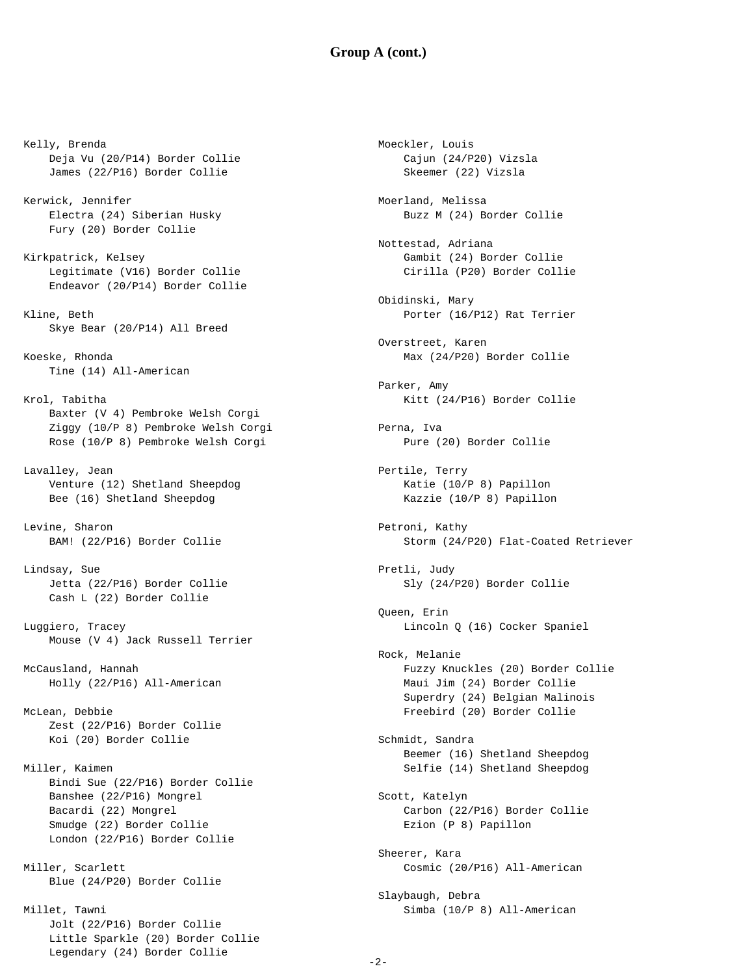#### **Group A (cont.)**

Moeckler, Louis

Kelly, Brenda Deja Vu (20/P14) Border Collie James (22/P16) Border Collie Kerwick, Jennifer Electra (24) Siberian Husky Fury (20) Border Collie Kirkpatrick, Kelsey Legitimate (V16) Border Collie Endeavor (20/P14) Border Collie Kline, Beth Skye Bear (20/P14) All Breed Koeske, Rhonda Tine (14) All-American Krol, Tabitha Baxter (V 4) Pembroke Welsh Corgi Ziggy (10/P 8) Pembroke Welsh Corgi Rose (10/P 8) Pembroke Welsh Corgi Lavalley, Jean Venture (12) Shetland Sheepdog Bee (16) Shetland Sheepdog Levine, Sharon BAM! (22/P16) Border Collie Lindsay, Sue Jetta (22/P16) Border Collie Cash L (22) Border Collie Luggiero, Tracey Mouse (V 4) Jack Russell Terrier McCausland, Hannah Holly (22/P16) All-American McLean, Debbie Zest (22/P16) Border Collie Koi (20) Border Collie Miller, Kaimen Bindi Sue (22/P16) Border Collie Banshee (22/P16) Mongrel Bacardi (22) Mongrel Smudge (22) Border Collie London (22/P16) Border Collie Miller, Scarlett Blue (24/P20) Border Collie Millet, Tawni

> Jolt (22/P16) Border Collie Little Sparkle (20) Border Collie Legendary (24) Border Collie

 Cajun (24/P20) Vizsla Skeemer (22) Vizsla Moerland, Melissa Buzz M (24) Border Collie Nottestad, Adriana Gambit (24) Border Collie Cirilla (P20) Border Collie Obidinski, Mary Porter (16/P12) Rat Terrier Overstreet, Karen Max (24/P20) Border Collie Parker, Amy Kitt (24/P16) Border Collie Perna, Iva Pure (20) Border Collie Pertile, Terry Katie (10/P 8) Papillon Kazzie (10/P 8) Papillon Petroni, Kathy Storm (24/P20) Flat-Coated Retriever Pretli, Judy Sly (24/P20) Border Collie Queen, Erin Lincoln Q (16) Cocker Spaniel Rock, Melanie Fuzzy Knuckles (20) Border Collie Maui Jim (24) Border Collie Superdry (24) Belgian Malinois Freebird (20) Border Collie Schmidt, Sandra Beemer (16) Shetland Sheepdog Selfie (14) Shetland Sheepdog Scott, Katelyn Carbon (22/P16) Border Collie Ezion (P 8) Papillon Sheerer, Kara Cosmic (20/P16) All-American Slaybaugh, Debra Simba (10/P 8) All-American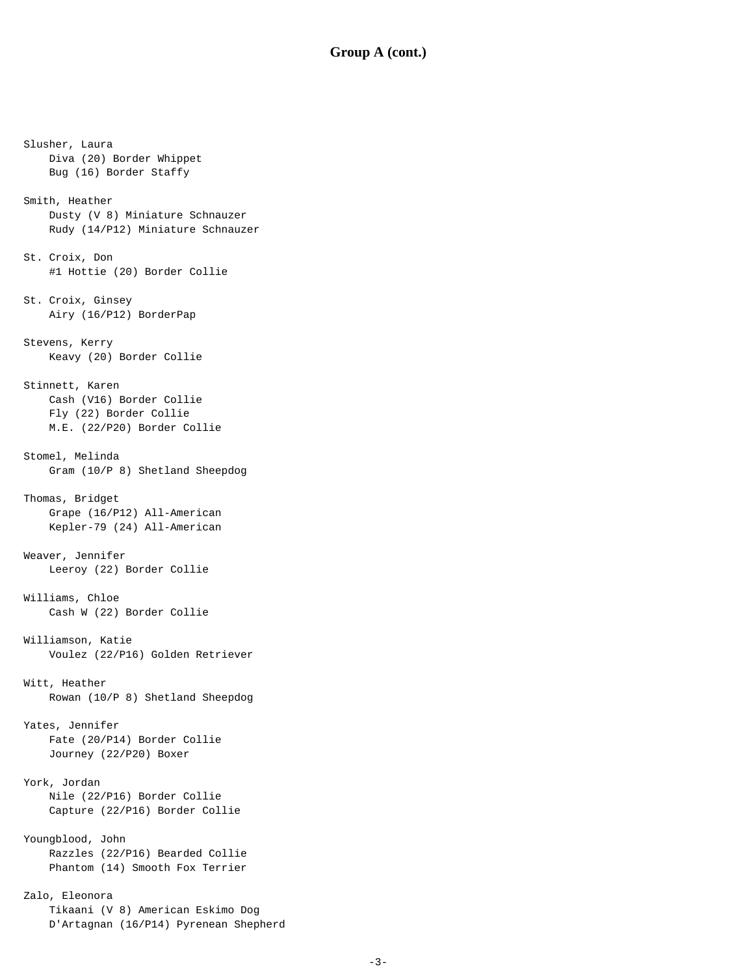#### **Group A (cont.)**

Slusher, Laura Diva (20) Border Whippet Bug (16) Border Staffy Smith, Heather Dusty (V 8) Miniature Schnauzer Rudy (14/P12) Miniature Schnauzer St. Croix, Don #1 Hottie (20) Border Collie St. Croix, Ginsey Airy (16/P12) BorderPap Stevens, Kerry Keavy (20) Border Collie Stinnett, Karen Cash (V16) Border Collie Fly (22) Border Collie M.E. (22/P20) Border Collie Stomel, Melinda Gram (10/P 8) Shetland Sheepdog Thomas, Bridget Grape (16/P12) All-American Kepler-79 (24) All-American Weaver, Jennifer Leeroy (22) Border Collie Williams, Chloe Cash W (22) Border Collie Williamson, Katie Voulez (22/P16) Golden Retriever Witt, Heather Rowan (10/P 8) Shetland Sheepdog Yates, Jennifer Fate (20/P14) Border Collie Journey (22/P20) Boxer York, Jordan Nile (22/P16) Border Collie Capture (22/P16) Border Collie Youngblood, John Razzles (22/P16) Bearded Collie Phantom (14) Smooth Fox Terrier Zalo, Eleonora

 Tikaani (V 8) American Eskimo Dog D'Artagnan (16/P14) Pyrenean Shepherd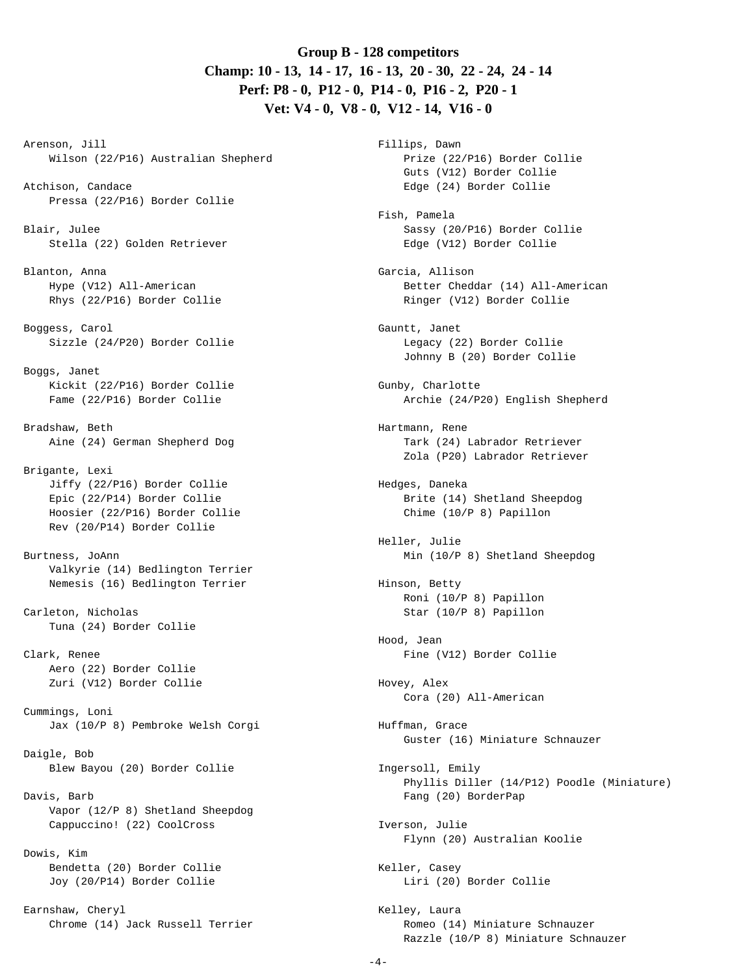## **Group B - 128 competitors Champ: 10 - 13, 14 - 17, 16 - 13, 20 - 30, 22 - 24, 24 - 14 Perf: P8 - 0, P12 - 0, P14 - 0, P16 - 2, P20 - 1 Vet: V4 - 0, V8 - 0, V12 - 14, V16 - 0**

Arenson, Jill Wilson (22/P16) Australian Shepherd

- Atchison, Candace Pressa (22/P16) Border Collie
- Blair, Julee Stella (22) Golden Retriever
- Blanton, Anna Hype (V12) All-American Rhys (22/P16) Border Collie
- Boggess, Carol Sizzle (24/P20) Border Collie
- Boggs, Janet Kickit (22/P16) Border Collie Fame (22/P16) Border Collie

Bradshaw, Beth Aine (24) German Shepherd Dog

- Brigante, Lexi Jiffy (22/P16) Border Collie Epic (22/P14) Border Collie Hoosier (22/P16) Border Collie Rev (20/P14) Border Collie
- Burtness, JoAnn Valkyrie (14) Bedlington Terrier Nemesis (16) Bedlington Terrier
- Carleton, Nicholas Tuna (24) Border Collie

Clark, Renee Aero (22) Border Collie Zuri (V12) Border Collie

Cummings, Loni Jax (10/P 8) Pembroke Welsh Corgi

- Daigle, Bob Blew Bayou (20) Border Collie
- Davis, Barb Vapor (12/P 8) Shetland Sheepdog Cappuccino! (22) CoolCross
- Dowis, Kim Bendetta (20) Border Collie Joy (20/P14) Border Collie

Earnshaw, Cheryl Chrome (14) Jack Russell Terrier

Fillips, Dawn Prize (22/P16) Border Collie Guts (V12) Border Collie Edge (24) Border Collie Fish, Pamela Sassy (20/P16) Border Collie Edge (V12) Border Collie Garcia, Allison Better Cheddar (14) All-American Ringer (V12) Border Collie Gauntt, Janet Legacy (22) Border Collie Johnny B (20) Border Collie Gunby, Charlotte Archie (24/P20) English Shepherd Hartmann, Rene Tark (24) Labrador Retriever Zola (P20) Labrador Retriever Hedges, Daneka Brite (14) Shetland Sheepdog Chime (10/P 8) Papillon Heller, Julie Min (10/P 8) Shetland Sheepdog Hinson, Betty Roni (10/P 8) Papillon Star (10/P 8) Papillon Hood, Jean Fine (V12) Border Collie Hovey, Alex Cora (20) All-American Huffman, Grace Guster (16) Miniature Schnauzer Ingersoll, Emily Phyllis Diller (14/P12) Poodle (Miniature) Fang (20) BorderPap Iverson, Julie Flynn (20) Australian Koolie Keller, Casey Liri (20) Border Collie Kelley, Laura Romeo (14) Miniature Schnauzer Razzle (10/P 8) Miniature Schnauzer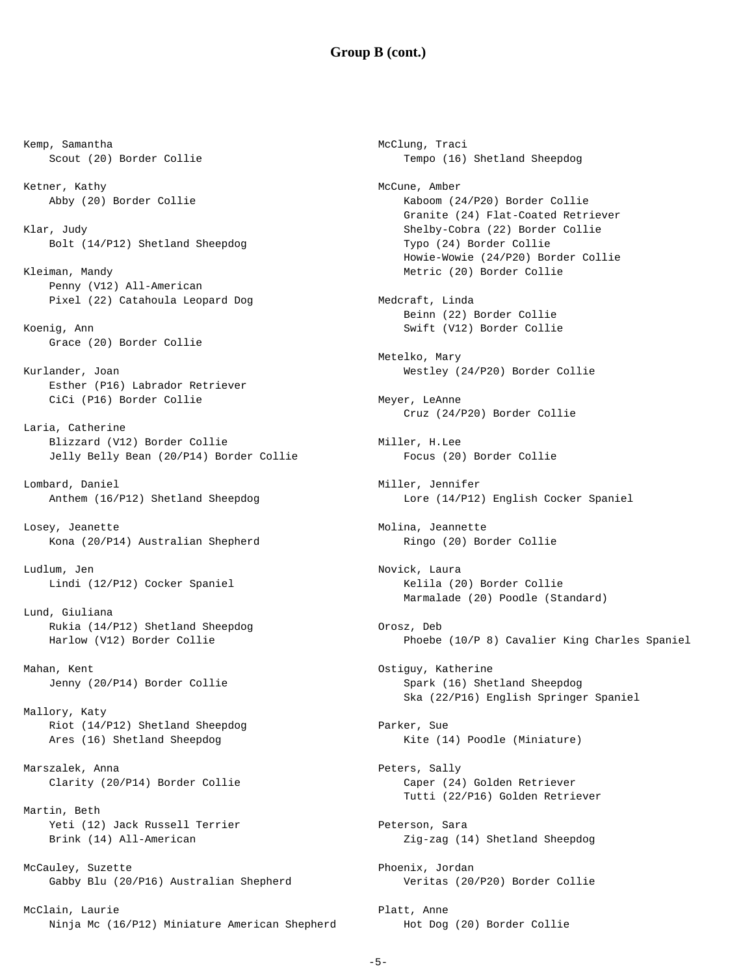#### **Group B (cont.)**

Kemp, Samantha Scout (20) Border Collie Ketner, Kathy Abby (20) Border Collie Klar, Judy Bolt (14/P12) Shetland Sheepdog Kleiman, Mandy Penny (V12) All-American Pixel (22) Catahoula Leopard Dog Koenig, Ann Grace (20) Border Collie Kurlander, Joan Esther (P16) Labrador Retriever CiCi (P16) Border Collie Laria, Catherine Blizzard (V12) Border Collie Jelly Belly Bean (20/P14) Border Collie Lombard, Daniel Anthem (16/P12) Shetland Sheepdog Losey, Jeanette Kona (20/P14) Australian Shepherd Ludlum, Jen Lindi (12/P12) Cocker Spaniel Lund, Giuliana Rukia (14/P12) Shetland Sheepdog Harlow (V12) Border Collie Mahan, Kent Jenny (20/P14) Border Collie Mallory, Katy Riot (14/P12) Shetland Sheepdog Ares (16) Shetland Sheepdog Marszalek, Anna Clarity (20/P14) Border Collie Martin, Beth Yeti (12) Jack Russell Terrier Brink (14) All-American McCauley, Suzette Gabby Blu (20/P16) Australian Shepherd McClain, Laurie Ninja Mc (16/P12) Miniature American Shepherd

McClung, Traci Tempo (16) Shetland Sheepdog McCune, Amber Kaboom (24/P20) Border Collie Granite (24) Flat-Coated Retriever Shelby-Cobra (22) Border Collie Typo (24) Border Collie Howie-Wowie (24/P20) Border Collie Metric (20) Border Collie Medcraft, Linda Beinn (22) Border Collie Swift (V12) Border Collie Metelko, Mary Westley (24/P20) Border Collie Meyer, LeAnne Cruz (24/P20) Border Collie Miller, H.Lee Focus (20) Border Collie Miller, Jennifer Lore (14/P12) English Cocker Spaniel Molina, Jeannette Ringo (20) Border Collie Novick, Laura Kelila (20) Border Collie Marmalade (20) Poodle (Standard) Orosz, Deb Phoebe (10/P 8) Cavalier King Charles Spaniel Ostiguy, Katherine Spark (16) Shetland Sheepdog Ska (22/P16) English Springer Spaniel Parker, Sue Kite (14) Poodle (Miniature) Peters, Sally Caper (24) Golden Retriever Tutti (22/P16) Golden Retriever Peterson, Sara Zig-zag (14) Shetland Sheepdog Phoenix, Jordan Veritas (20/P20) Border Collie Platt, Anne Hot Dog (20) Border Collie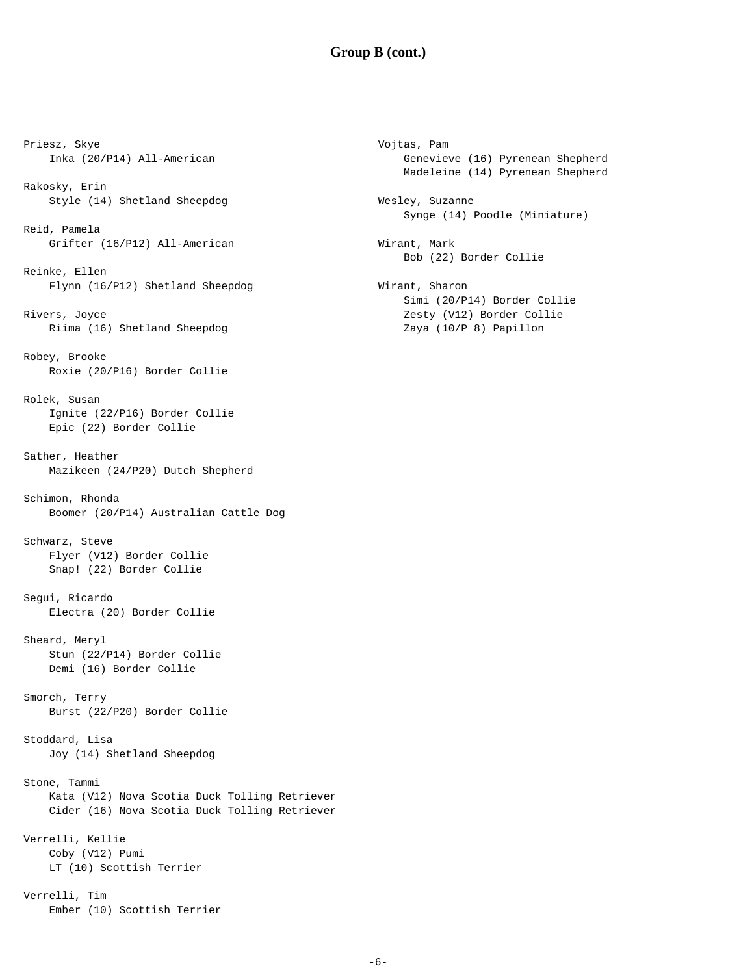### **Group B (cont.)**

Vojtas, Pam

Priesz, Skye Inka (20/P14) All-American Rakosky, Erin Style (14) Shetland Sheepdog Reid, Pamela Grifter (16/P12) All-American Reinke, Ellen Flynn (16/P12) Shetland Sheepdog Rivers, Joyce Riima (16) Shetland Sheepdog Robey, Brooke Roxie (20/P16) Border Collie Rolek, Susan Ignite (22/P16) Border Collie Epic (22) Border Collie Sather, Heather Mazikeen (24/P20) Dutch Shepherd Schimon, Rhonda Boomer (20/P14) Australian Cattle Dog Schwarz, Steve Flyer (V12) Border Collie Snap! (22) Border Collie Segui, Ricardo Electra (20) Border Collie Sheard, Meryl Stun (22/P14) Border Collie Demi (16) Border Collie Smorch, Terry Burst (22/P20) Border Collie Stoddard, Lisa Joy (14) Shetland Sheepdog Stone, Tammi Kata (V12) Nova Scotia Duck Tolling Retriever Cider (16) Nova Scotia Duck Tolling Retriever Verrelli, Kellie Coby (V12) Pumi LT (10) Scottish Terrier Verrelli, Tim

Ember (10) Scottish Terrier

 Genevieve (16) Pyrenean Shepherd Madeleine (14) Pyrenean Shepherd Wesley, Suzanne Synge (14) Poodle (Miniature) Wirant, Mark Bob (22) Border Collie Wirant, Sharon Simi (20/P14) Border Collie Zesty (V12) Border Collie Zaya (10/P 8) Papillon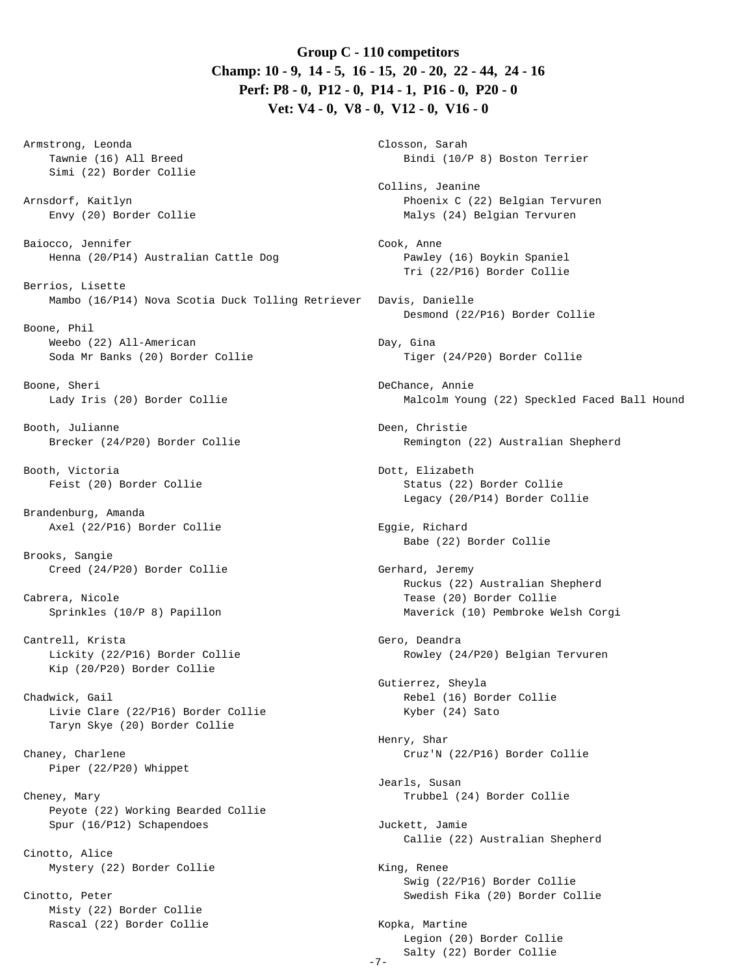**Group C - 110 competitors Champ: 10 - 9, 14 - 5, 16 - 15, 20 - 20, 22 - 44, 24 - 16 Perf: P8 - 0, P12 - 0, P14 - 1, P16 - 0, P20 - 0 Vet: V4 - 0, V8 - 0, V12 - 0, V16 - 0**

Armstrong, Leonda Tawnie (16) All Breed Simi (22) Border Collie

Arnsdorf, Kaitlyn Envy (20) Border Collie

Baiocco, Jennifer Henna (20/P14) Australian Cattle Dog

Berrios, Lisette Mambo (16/P14) Nova Scotia Duck Tolling Retriever

Boone, Phil Weebo (22) All-American Soda Mr Banks (20) Border Collie

Boone, Sheri Lady Iris (20) Border Collie

Booth, Julianne Brecker (24/P20) Border Collie

Booth, Victoria Feist (20) Border Collie

Brandenburg, Amanda Axel (22/P16) Border Collie

Brooks, Sangie Creed (24/P20) Border Collie

Cabrera, Nicole Sprinkles (10/P 8) Papillon

Cantrell, Krista Lickity (22/P16) Border Collie Kip (20/P20) Border Collie

Chadwick, Gail Livie Clare (22/P16) Border Collie Taryn Skye (20) Border Collie

Chaney, Charlene Piper (22/P20) Whippet

Cheney, Mary Peyote (22) Working Bearded Collie Spur (16/P12) Schapendoes

Cinotto, Alice Mystery (22) Border Collie

Cinotto, Peter Misty (22) Border Collie Rascal (22) Border Collie

Closson, Sarah Bindi (10/P 8) Boston Terrier Collins, Jeanine Phoenix C (22) Belgian Tervuren Malys (24) Belgian Tervuren Cook, Anne Pawley (16) Boykin Spaniel Tri (22/P16) Border Collie Davis, Danielle Desmond (22/P16) Border Collie Day, Gina Tiger (24/P20) Border Collie DeChance, Annie Malcolm Young (22) Speckled Faced Ball Hound Deen, Christie Remington (22) Australian Shepherd Dott, Elizabeth Status (22) Border Collie Legacy (20/P14) Border Collie Eggie, Richard Babe (22) Border Collie Gerhard, Jeremy Ruckus (22) Australian Shepherd Tease (20) Border Collie Maverick (10) Pembroke Welsh Corgi Gero, Deandra Rowley (24/P20) Belgian Tervuren Gutierrez, Sheyla Rebel (16) Border Collie Kyber (24) Sato Henry, Shar Cruz'N (22/P16) Border Collie Jearls, Susan Trubbel (24) Border Collie Juckett, Jamie Callie (22) Australian Shepherd King, Renee Swig (22/P16) Border Collie Swedish Fika (20) Border Collie Kopka, Martine Legion (20) Border Collie

Salty (22) Border Collie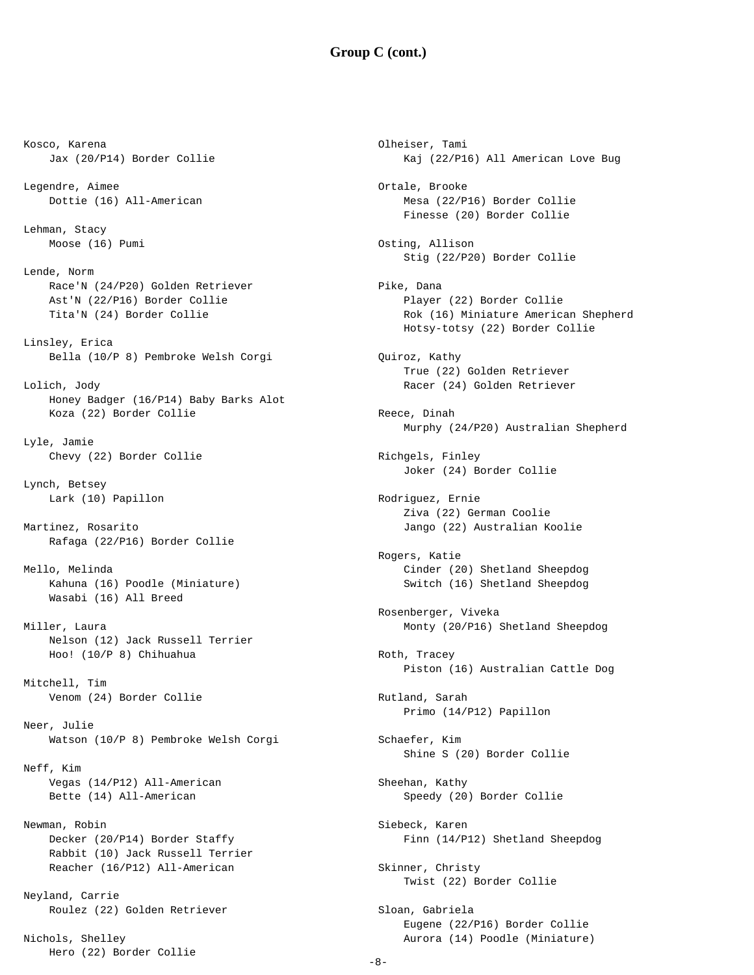### **Group C (cont.)**

Kosco, Karena Jax (20/P14) Border Collie Legendre, Aimee Dottie (16) All-American Lehman, Stacy Moose (16) Pumi Lende, Norm Race'N (24/P20) Golden Retriever Ast'N (22/P16) Border Collie Tita'N (24) Border Collie Linsley, Erica Bella (10/P 8) Pembroke Welsh Corgi Lolich, Jody Honey Badger (16/P14) Baby Barks Alot Koza (22) Border Collie Lyle, Jamie Chevy (22) Border Collie Lynch, Betsey Lark (10) Papillon Martinez, Rosarito Rafaga (22/P16) Border Collie Mello, Melinda Kahuna (16) Poodle (Miniature) Wasabi (16) All Breed Miller, Laura Nelson (12) Jack Russell Terrier Hoo! (10/P 8) Chihuahua Mitchell, Tim Venom (24) Border Collie Neer, Julie Watson (10/P 8) Pembroke Welsh Corgi Neff, Kim Vegas (14/P12) All-American Bette (14) All-American Newman, Robin Decker (20/P14) Border Staffy Rabbit (10) Jack Russell Terrier Reacher (16/P12) All-American Neyland, Carrie Roulez (22) Golden Retriever

Nichols, Shelley Hero (22) Border Collie

Olheiser, Tami Kaj (22/P16) All American Love Bug Ortale, Brooke Mesa (22/P16) Border Collie Finesse (20) Border Collie Osting, Allison Stig (22/P20) Border Collie Pike, Dana Player (22) Border Collie Rok (16) Miniature American Shepherd Hotsy-totsy (22) Border Collie Quiroz, Kathy True (22) Golden Retriever Racer (24) Golden Retriever Reece, Dinah Murphy (24/P20) Australian Shepherd Richgels, Finley Joker (24) Border Collie Rodriguez, Ernie Ziva (22) German Coolie Jango (22) Australian Koolie Rogers, Katie Cinder (20) Shetland Sheepdog Switch (16) Shetland Sheepdog Rosenberger, Viveka Monty (20/P16) Shetland Sheepdog Roth, Tracey Piston (16) Australian Cattle Dog Rutland, Sarah Primo (14/P12) Papillon Schaefer, Kim Shine S (20) Border Collie Sheehan, Kathy Speedy (20) Border Collie Siebeck, Karen Finn (14/P12) Shetland Sheepdog Skinner, Christy Twist (22) Border Collie Sloan, Gabriela Eugene (22/P16) Border Collie Aurora (14) Poodle (Miniature)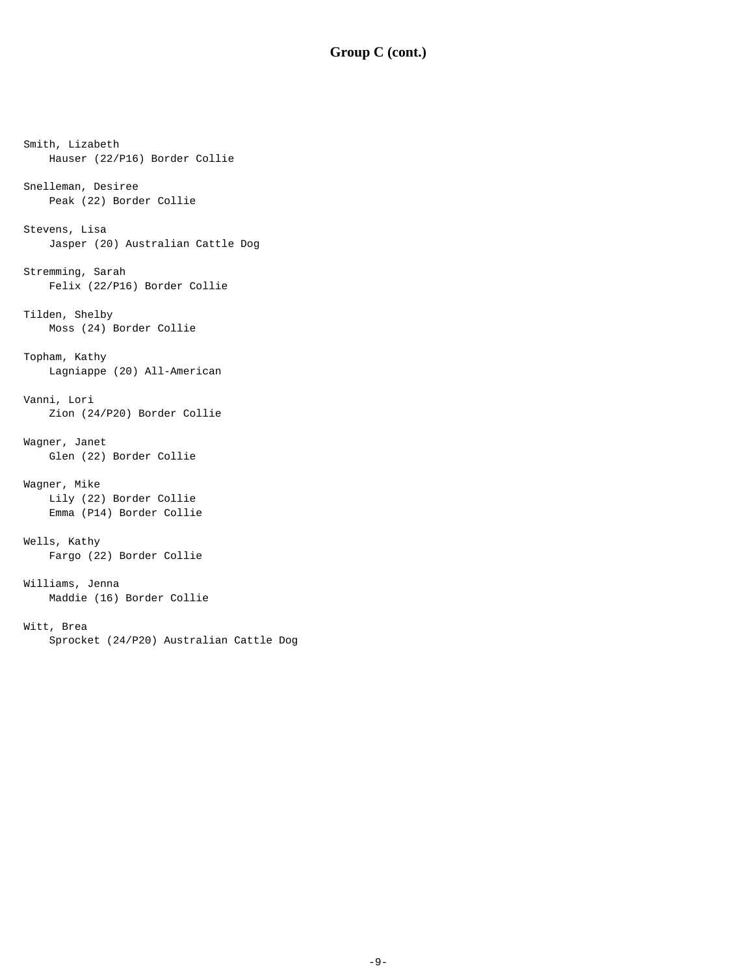```
Smith, Lizabeth
    Hauser (22/P16) Border Collie 
Snelleman, Desiree
     Peak (22) Border Collie 
Stevens, Lisa
     Jasper (20) Australian Cattle Dog 
Stremming, Sarah
     Felix (22/P16) Border Collie 
Tilden, Shelby
    Moss (24) Border Collie 
Topham, Kathy
    Lagniappe (20) All-American 
Vanni, Lori
     Zion (24/P20) Border Collie 
Wagner, Janet
    Glen (22) Border Collie 
Wagner, Mike
    Lily (22) Border Collie 
     Emma (P14) Border Collie 
Wells, Kathy
     Fargo (22) Border Collie 
Williams, Jenna
    Maddie (16) Border Collie 
Witt, Brea
     Sprocket (24/P20) Australian Cattle Dog
```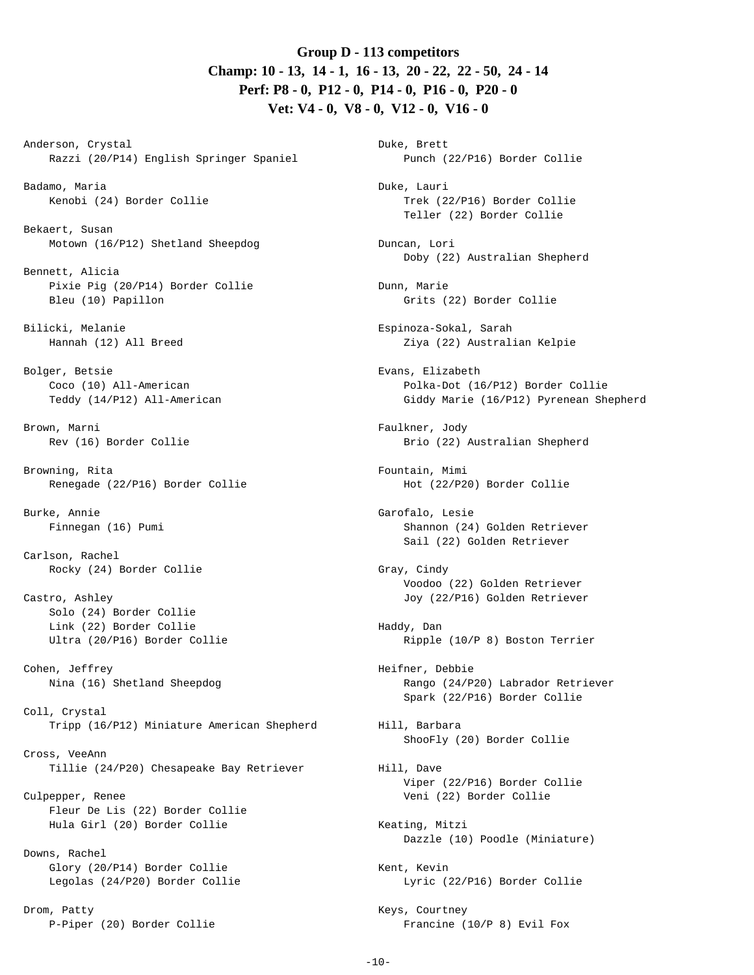## **Group D - 113 competitors Champ: 10 - 13, 14 - 1, 16 - 13, 20 - 22, 22 - 50, 24 - 14 Perf: P8 - 0, P12 - 0, P14 - 0, P16 - 0, P20 - 0 Vet: V4 - 0, V8 - 0, V12 - 0, V16 - 0**

Anderson, Crystal Razzi (20/P14) English Springer Spaniel

Badamo, Maria Kenobi (24) Border Collie

Bekaert, Susan Motown (16/P12) Shetland Sheepdog

Bennett, Alicia Pixie Pig (20/P14) Border Collie Bleu (10) Papillon

Bilicki, Melanie Hannah (12) All Breed

Bolger, Betsie Coco (10) All-American Teddy (14/P12) All-American

Brown, Marni Rev (16) Border Collie

Browning, Rita Renegade (22/P16) Border Collie

Burke, Annie Finnegan (16) Pumi

Carlson, Rachel Rocky (24) Border Collie

Castro, Ashley Solo (24) Border Collie Link (22) Border Collie Ultra (20/P16) Border Collie

Cohen, Jeffrey Nina (16) Shetland Sheepdog

Coll, Crystal Tripp (16/P12) Miniature American Shepherd

Cross, VeeAnn Tillie (24/P20) Chesapeake Bay Retriever

Culpepper, Renee Fleur De Lis (22) Border Collie Hula Girl (20) Border Collie

Downs, Rachel Glory (20/P14) Border Collie Legolas (24/P20) Border Collie

Drom, Patty P-Piper (20) Border Collie

Duke, Brett Punch (22/P16) Border Collie Duke, Lauri Trek (22/P16) Border Collie Teller (22) Border Collie Duncan, Lori Doby (22) Australian Shepherd Dunn, Marie Grits (22) Border Collie Espinoza-Sokal, Sarah Ziya (22) Australian Kelpie Evans, Elizabeth Polka-Dot (16/P12) Border Collie Giddy Marie (16/P12) Pyrenean Shepherd Faulkner, Jody Brio (22) Australian Shepherd Fountain, Mimi Hot (22/P20) Border Collie Garofalo, Lesie Shannon (24) Golden Retriever Sail (22) Golden Retriever Gray, Cindy Voodoo (22) Golden Retriever Joy (22/P16) Golden Retriever Haddy, Dan Ripple (10/P 8) Boston Terrier Heifner, Debbie Rango (24/P20) Labrador Retriever Spark (22/P16) Border Collie Hill, Barbara ShooFly (20) Border Collie Hill, Dave Viper (22/P16) Border Collie Veni (22) Border Collie Keating, Mitzi Dazzle (10) Poodle (Miniature) Kent, Kevin Lyric (22/P16) Border Collie Keys, Courtney Francine (10/P 8) Evil Fox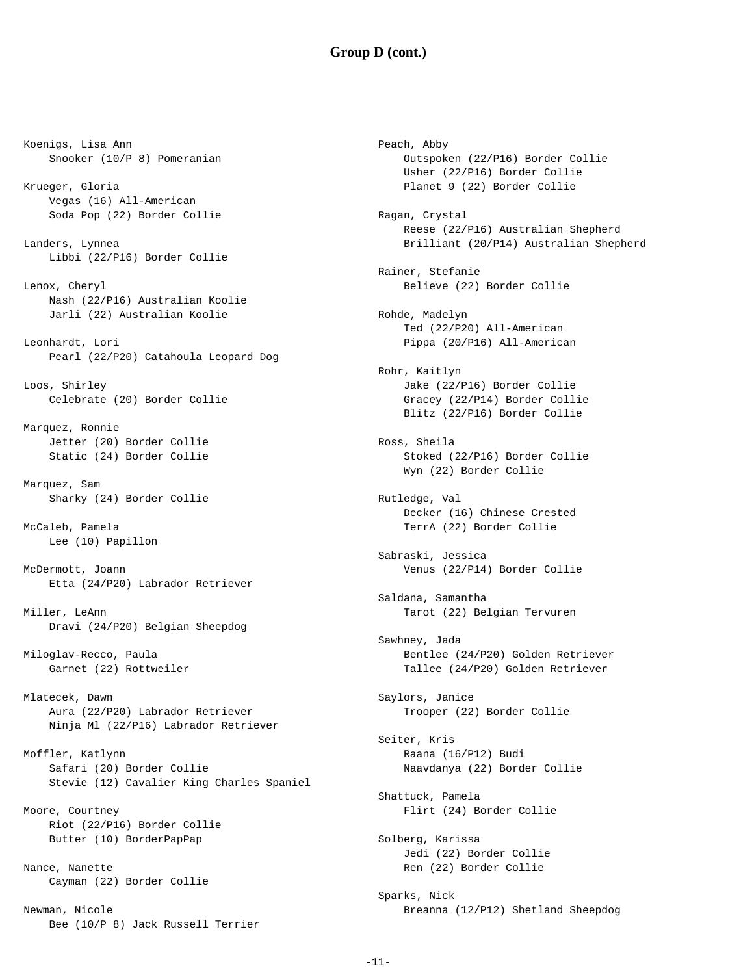#### **Group D (cont.)**

Koenigs, Lisa Ann Snooker (10/P 8) Pomeranian Krueger, Gloria Vegas (16) All-American Soda Pop (22) Border Collie Landers, Lynnea Libbi (22/P16) Border Collie Lenox, Cheryl Nash (22/P16) Australian Koolie Jarli (22) Australian Koolie Leonhardt, Lori Pearl (22/P20) Catahoula Leopard Dog Loos, Shirley Celebrate (20) Border Collie Marquez, Ronnie Jetter (20) Border Collie Static (24) Border Collie Marquez, Sam Sharky (24) Border Collie McCaleb, Pamela Lee (10) Papillon McDermott, Joann Etta (24/P20) Labrador Retriever Miller, LeAnn Dravi (24/P20) Belgian Sheepdog Miloglav-Recco, Paula Garnet (22) Rottweiler Mlatecek, Dawn Aura (22/P20) Labrador Retriever Ninja Ml (22/P16) Labrador Retriever Moffler, Katlynn Safari (20) Border Collie Stevie (12) Cavalier King Charles Spaniel Moore, Courtney Riot (22/P16) Border Collie Butter (10) BorderPapPap Nance, Nanette Cayman (22) Border Collie Newman, Nicole Bee (10/P 8) Jack Russell Terrier

Peach, Abby Outspoken (22/P16) Border Collie Usher (22/P16) Border Collie Planet 9 (22) Border Collie Ragan, Crystal Reese (22/P16) Australian Shepherd Brilliant (20/P14) Australian Shepherd Rainer, Stefanie Believe (22) Border Collie Rohde, Madelyn Ted (22/P20) All-American Pippa (20/P16) All-American Rohr, Kaitlyn Jake (22/P16) Border Collie Gracey (22/P14) Border Collie Blitz (22/P16) Border Collie Ross, Sheila Stoked (22/P16) Border Collie Wyn (22) Border Collie Rutledge, Val Decker (16) Chinese Crested TerrA (22) Border Collie Sabraski, Jessica Venus (22/P14) Border Collie Saldana, Samantha Tarot (22) Belgian Tervuren Sawhney, Jada Bentlee (24/P20) Golden Retriever Tallee (24/P20) Golden Retriever Saylors, Janice Trooper (22) Border Collie Seiter, Kris Raana (16/P12) Budi Naavdanya (22) Border Collie Shattuck, Pamela Flirt (24) Border Collie Solberg, Karissa Jedi (22) Border Collie Ren (22) Border Collie Sparks, Nick Breanna (12/P12) Shetland Sheepdog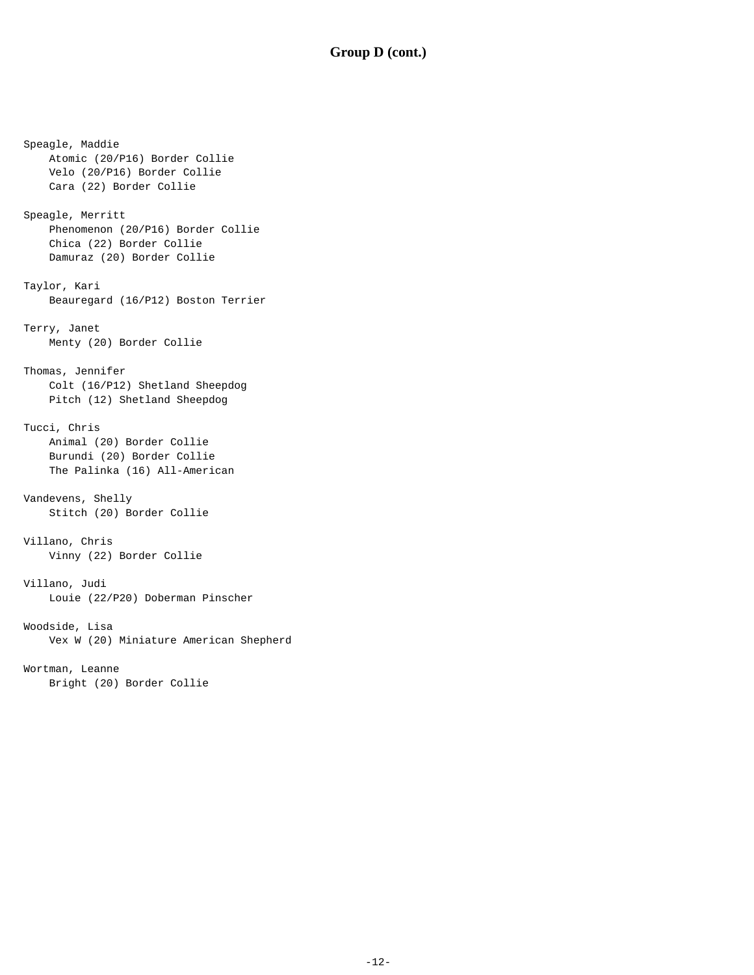## **Group D (cont.)**

Speagle, Maddie Atomic (20/P16) Border Collie Velo (20/P16) Border Collie Cara (22) Border Collie Speagle, Merritt Phenomenon (20/P16) Border Collie Chica (22) Border Collie Damuraz (20) Border Collie Taylor, Kari Beauregard (16/P12) Boston Terrier Terry, Janet Menty (20) Border Collie Thomas, Jennifer Colt (16/P12) Shetland Sheepdog Pitch (12) Shetland Sheepdog Tucci, Chris Animal (20) Border Collie Burundi (20) Border Collie The Palinka (16) All-American Vandevens, Shelly Stitch (20) Border Collie Villano, Chris Vinny (22) Border Collie Villano, Judi Louie (22/P20) Doberman Pinscher Woodside, Lisa Vex W (20) Miniature American Shepherd Wortman, Leanne Bright (20) Border Collie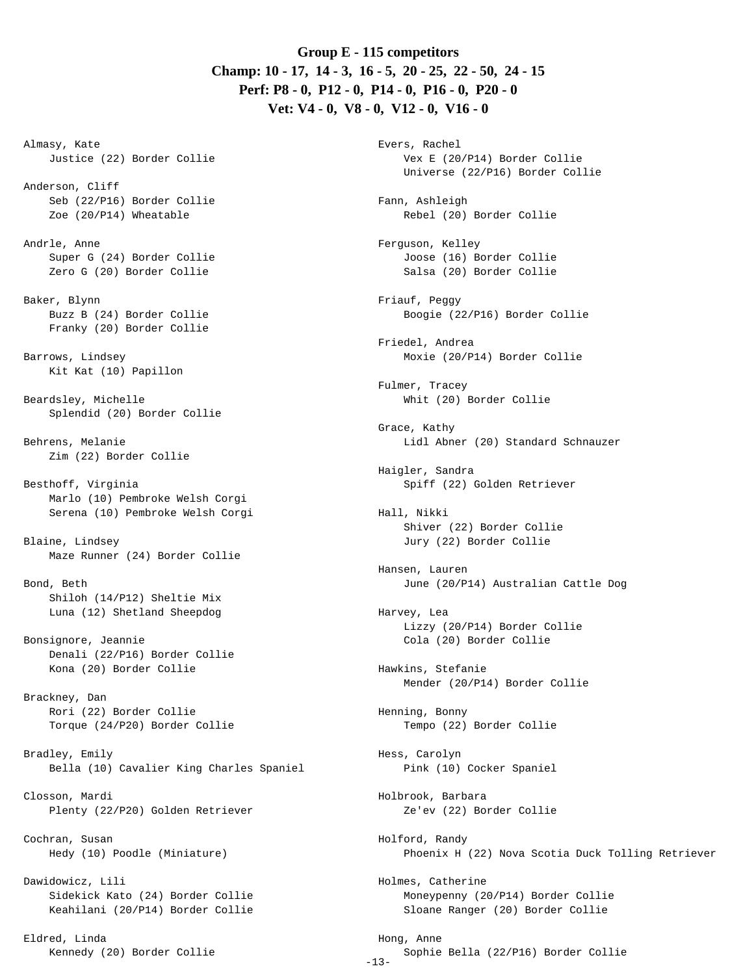# **Group E - 115 competitors Champ: 10 - 17, 14 - 3, 16 - 5, 20 - 25, 22 - 50, 24 - 15 Perf: P8 - 0, P12 - 0, P14 - 0, P16 - 0, P20 - 0 Vet: V4 - 0, V8 - 0, V12 - 0, V16 - 0**

Almasy, Kate Justice (22) Border Collie

Anderson, Cliff Seb (22/P16) Border Collie Zoe (20/P14) Wheatable

Andrle, Anne Super G (24) Border Collie Zero G (20) Border Collie

Baker, Blynn Buzz B (24) Border Collie Franky (20) Border Collie

Barrows, Lindsey Kit Kat (10) Papillon

Beardsley, Michelle Splendid (20) Border Collie

Behrens, Melanie Zim (22) Border Collie

Besthoff, Virginia Marlo (10) Pembroke Welsh Corgi Serena (10) Pembroke Welsh Corgi

Blaine, Lindsey Maze Runner (24) Border Collie

Bond, Beth Shiloh (14/P12) Sheltie Mix Luna (12) Shetland Sheepdog

Bonsignore, Jeannie Denali (22/P16) Border Collie Kona (20) Border Collie

Brackney, Dan Rori (22) Border Collie Torque (24/P20) Border Collie

Bradley, Emily Bella (10) Cavalier King Charles Spaniel

Closson, Mardi Plenty (22/P20) Golden Retriever

Cochran, Susan Hedy (10) Poodle (Miniature)

Dawidowicz, Lili Sidekick Kato (24) Border Collie Keahilani (20/P14) Border Collie

Eldred, Linda Kennedy (20) Border Collie -13- Evers, Rachel Vex E (20/P14) Border Collie Universe (22/P16) Border Collie Fann, Ashleigh Rebel (20) Border Collie Ferguson, Kelley Joose (16) Border Collie Salsa (20) Border Collie Friauf, Peggy Boogie (22/P16) Border Collie Friedel, Andrea Moxie (20/P14) Border Collie Fulmer, Tracey Whit (20) Border Collie Grace, Kathy Lidl Abner (20) Standard Schnauzer Haigler, Sandra Spiff (22) Golden Retriever Hall, Nikki Shiver (22) Border Collie Jury (22) Border Collie Hansen, Lauren June (20/P14) Australian Cattle Dog Harvey, Lea Lizzy (20/P14) Border Collie Cola (20) Border Collie Hawkins, Stefanie Mender (20/P14) Border Collie Henning, Bonny Tempo (22) Border Collie Hess, Carolyn Pink (10) Cocker Spaniel Holbrook, Barbara Ze'ev (22) Border Collie Holford, Randy Phoenix H (22) Nova Scotia Duck Tolling Retriever Holmes, Catherine Moneypenny (20/P14) Border Collie Sloane Ranger (20) Border Collie Hong, Anne Sophie Bella (22/P16) Border Collie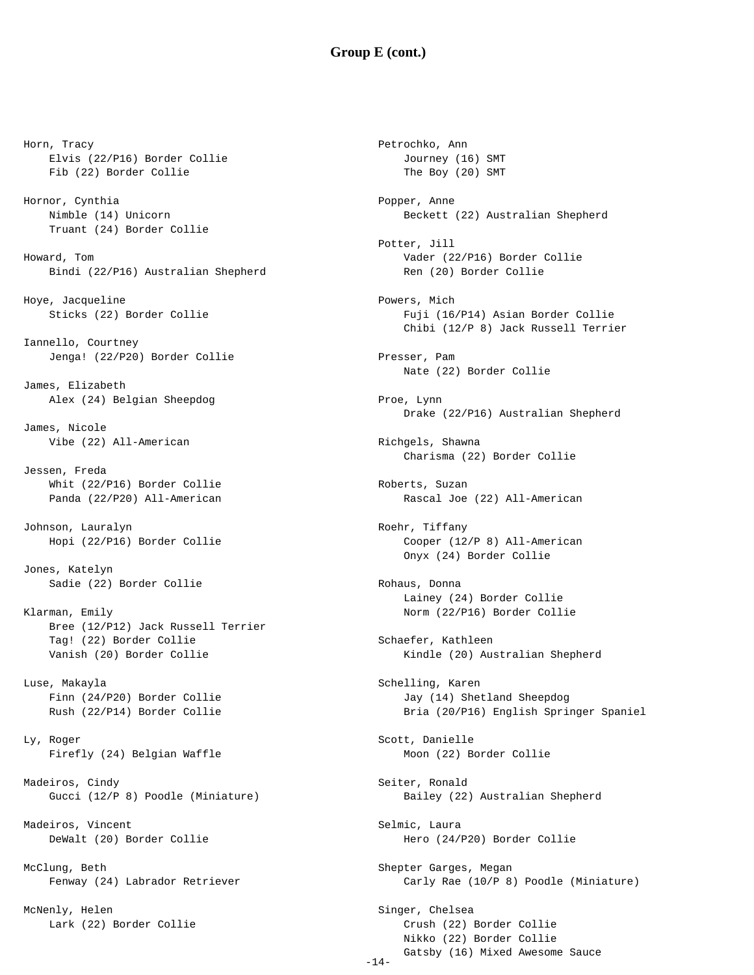### **Group E (cont.)**

Horn, Tracy Elvis (22/P16) Border Collie Fib (22) Border Collie Hornor, Cynthia Nimble (14) Unicorn Truant (24) Border Collie Howard, Tom Bindi (22/P16) Australian Shepherd Hoye, Jacqueline Sticks (22) Border Collie Iannello, Courtney Jenga! (22/P20) Border Collie James, Elizabeth Alex (24) Belgian Sheepdog James, Nicole Vibe (22) All-American Jessen, Freda Whit (22/P16) Border Collie Panda (22/P20) All-American Johnson, Lauralyn Hopi (22/P16) Border Collie Jones, Katelyn Sadie (22) Border Collie Klarman, Emily Bree (12/P12) Jack Russell Terrier Tag! (22) Border Collie Vanish (20) Border Collie Luse, Makayla Finn (24/P20) Border Collie Rush (22/P14) Border Collie Ly, Roger Firefly (24) Belgian Waffle Madeiros, Cindy Gucci (12/P 8) Poodle (Miniature) Madeiros, Vincent DeWalt (20) Border Collie McClung, Beth Fenway (24) Labrador Retriever

McNenly, Helen Lark (22) Border Collie

Petrochko, Ann Journey (16) SMT The Boy (20) SMT Popper, Anne Beckett (22) Australian Shepherd Potter, Jill Vader (22/P16) Border Collie Ren (20) Border Collie Powers, Mich Fuji (16/P14) Asian Border Collie Chibi (12/P 8) Jack Russell Terrier Presser, Pam Nate (22) Border Collie Proe, Lynn Drake (22/P16) Australian Shepherd Richgels, Shawna Charisma (22) Border Collie Roberts, Suzan Rascal Joe (22) All-American Roehr, Tiffany Cooper (12/P 8) All-American Onyx (24) Border Collie Rohaus, Donna Lainey (24) Border Collie Norm (22/P16) Border Collie Schaefer, Kathleen Kindle (20) Australian Shepherd Schelling, Karen Jay (14) Shetland Sheepdog Bria (20/P16) English Springer Spaniel Scott, Danielle Moon (22) Border Collie Seiter, Ronald Bailey (22) Australian Shepherd Selmic, Laura Hero (24/P20) Border Collie Shepter Garges, Megan Carly Rae (10/P 8) Poodle (Miniature) Singer, Chelsea Crush (22) Border Collie Nikko (22) Border Collie

Gatsby (16) Mixed Awesome Sauce

-14-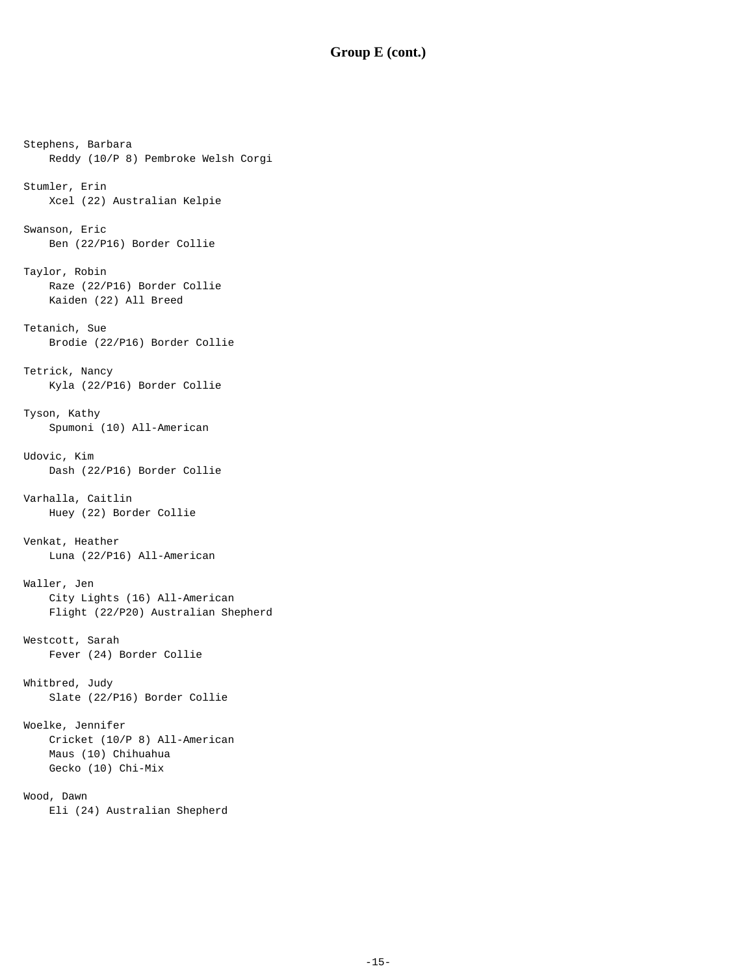## **Group E (cont.)**

Stephens, Barbara Reddy (10/P 8) Pembroke Welsh Corgi Stumler, Erin Xcel (22) Australian Kelpie Swanson, Eric Ben (22/P16) Border Collie Taylor, Robin Raze (22/P16) Border Collie Kaiden (22) All Breed Tetanich, Sue Brodie (22/P16) Border Collie Tetrick, Nancy Kyla (22/P16) Border Collie Tyson, Kathy Spumoni (10) All-American Udovic, Kim Dash (22/P16) Border Collie Varhalla, Caitlin Huey (22) Border Collie Venkat, Heather Luna (22/P16) All-American Waller, Jen City Lights (16) All-American Flight (22/P20) Australian Shepherd Westcott, Sarah Fever (24) Border Collie Whitbred, Judy Slate (22/P16) Border Collie Woelke, Jennifer Cricket (10/P 8) All-American Maus (10) Chihuahua Gecko (10) Chi-Mix Wood, Dawn Eli (24) Australian Shepherd